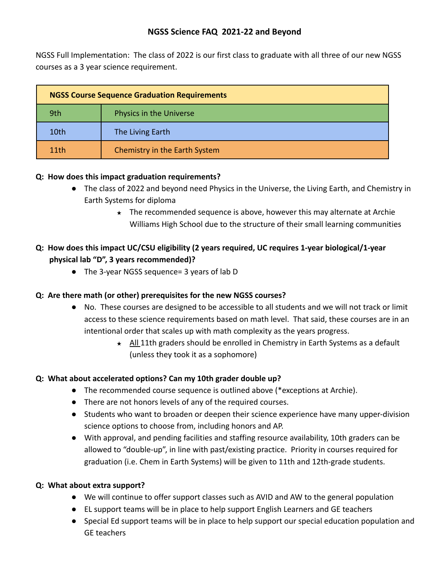## **NGSS Science FAQ 2021-22 and Beyond**

NGSS Full Implementation: The class of 2022 is our first class to graduate with all three of our new NGSS courses as a 3 year science requirement.

| <b>NGSS Course Sequence Graduation Requirements</b> |                               |
|-----------------------------------------------------|-------------------------------|
| 9th                                                 | Physics in the Universe       |
| 10th                                                | The Living Earth              |
| 11th                                                | Chemistry in the Earth System |

#### **Q: How does this impact graduation requirements?**

- The class of 2022 and beyond need Physics in the Universe, the Living Earth, and Chemistry in Earth Systems for diploma
	- ★ The recommended sequence is above, however this may alternate at Archie Williams High School due to the structure of their small learning communities

## **Q: How does this impact UC/CSU eligibility (2 years required, UC requires 1-year biological/1-year physical lab "D", 3 years recommended)?**

● The 3-year NGSS sequence= 3 years of lab D

#### **Q: Are there math (or other) prerequisites for the new NGSS courses?**

- No. These courses are designed to be accessible to all students and we will not track or limit access to these science requirements based on math level. That said, these courses are in an intentional order that scales up with math complexity as the years progress.
	- ★ All 11th graders should be enrolled in Chemistry in Earth Systems as a default (unless they took it as a sophomore)

#### **Q: What about accelerated options? Can my 10th grader double up?**

- The recommended course sequence is outlined above (\*exceptions at Archie).
- There are not honors levels of any of the required courses.
- Students who want to broaden or deepen their science experience have many upper-division science options to choose from, including honors and AP.
- With approval, and pending facilities and staffing resource availability, 10th graders can be allowed to "double-up", in line with past/existing practice. Priority in courses required for graduation (i.e. Chem in Earth Systems) will be given to 11th and 12th-grade students.

#### **Q: What about extra support?**

- We will continue to offer support classes such as AVID and AW to the general population
- EL support teams will be in place to help support English Learners and GE teachers
- Special Ed support teams will be in place to help support our special education population and GE teachers